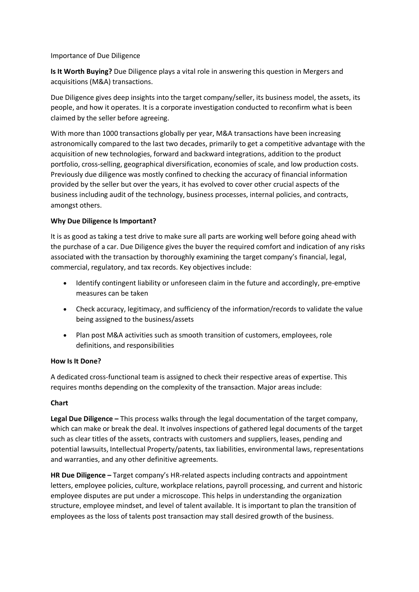## Importance of Due Diligence

**Is It Worth Buying?** Due Diligence plays a vital role in answering this question in Mergers and acquisitions (M&A) transactions.

Due Diligence gives deep insights into the target company/seller, its business model, the assets, its people, and how it operates. It is a corporate investigation conducted to reconfirm what is been claimed by the seller before agreeing.

With more than 1000 transactions globally per year, M&A transactions have been increasing astronomically compared to the last two decades, primarily to get a competitive advantage with the acquisition of new technologies, forward and backward integrations, addition to the product portfolio, cross-selling, geographical diversification, economies of scale, and low production costs. Previously due diligence was mostly confined to checking the accuracy of financial information provided by the seller but over the years, it has evolved to cover other crucial aspects of the business including audit of the technology, business processes, internal policies, and contracts, amongst others.

# **Why Due Diligence Is Important?**

It is as good as taking a test drive to make sure all parts are working well before going ahead with the purchase of a car. Due Diligence gives the buyer the required comfort and indication of any risks associated with the transaction by thoroughly examining the target company's financial, legal, commercial, regulatory, and tax records. Key objectives include:

- Identify contingent liability or unforeseen claim in the future and accordingly, pre-emptive measures can be taken
- Check accuracy, legitimacy, and sufficiency of the information/records to validate the value being assigned to the business/assets
- Plan post M&A activities such as smooth transition of customers, employees, role definitions, and responsibilities

### **How Is It Done?**

A dedicated cross-functional team is assigned to check their respective areas of expertise. This requires months depending on the complexity of the transaction. Major areas include:

# **Chart**

**Legal Due Diligence –** This process walks through the legal documentation of the target company, which can make or break the deal. It involves inspections of gathered legal documents of the target such as clear titles of the assets, contracts with customers and suppliers, leases, pending and potential lawsuits, Intellectual Property/patents, tax liabilities, environmental laws, representations and warranties, and any other definitive agreements.

**HR Due Diligence –** Target company's HR-related aspects including contracts and appointment letters, employee policies, culture, workplace relations, payroll processing, and current and historic employee disputes are put under a microscope. This helps in understanding the organization structure, employee mindset, and level of talent available. It is important to plan the transition of employees as the loss of talents post transaction may stall desired growth of the business.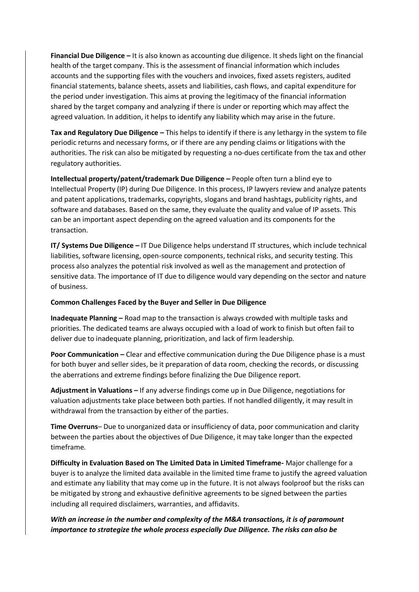**Financial Due Diligence –** It is also known as accounting due diligence. It sheds light on the financial health of the target company. This is the assessment of financial information which includes accounts and the supporting files with the vouchers and invoices, fixed assets registers, audited financial statements, balance sheets, assets and liabilities, cash flows, and capital expenditure for the period under investigation. This aims at proving the legitimacy of the financial information shared by the target company and analyzing if there is under or reporting which may affect the agreed valuation. In addition, it helps to identify any liability which may arise in the future.

**Tax and Regulatory Due Diligence –** This helps to identify if there is any lethargy in the system to file periodic returns and necessary forms, or if there are any pending claims or litigations with the authorities. The risk can also be mitigated by requesting a no-dues certificate from the tax and other regulatory authorities.

**Intellectual property/patent/trademark Due Diligence –** People often turn a blind eye to Intellectual Property (IP) during Due Diligence. In this process, IP lawyers review and analyze patents and patent applications, trademarks, copyrights, slogans and brand hashtags, publicity rights, and software and databases. Based on the same, they evaluate the quality and value of IP assets. This can be an important aspect depending on the agreed valuation and its components for the transaction.

**IT/ Systems Due Diligence –** IT Due Diligence helps understand IT structures, which include technical liabilities, software licensing, open-source components, technical risks, and security testing. This process also analyzes the potential risk involved as well as the management and protection of sensitive data. The importance of IT due to diligence would vary depending on the sector and nature of business.

### **Common Challenges Faced by the Buyer and Seller in Due Diligence**

**Inadequate Planning –** Road map to the transaction is always crowded with multiple tasks and priorities. The dedicated teams are always occupied with a load of work to finish but often fail to deliver due to inadequate planning, prioritization, and lack of firm leadership.

**Poor Communication –** Clear and effective communication during the Due Diligence phase is a must for both buyer and seller sides, be it preparation of data room, checking the records, or discussing the aberrations and extreme findings before finalizing the Due Diligence report.

**Adjustment in Valuations –** If any adverse findings come up in Due Diligence, negotiations for valuation adjustments take place between both parties. If not handled diligently, it may result in withdrawal from the transaction by either of the parties.

**Time Overruns**– Due to unorganized data or insufficiency of data, poor communication and clarity between the parties about the objectives of Due Diligence, it may take longer than the expected timeframe.

**Difficulty in Evaluation Based on The Limited Data in Limited Timeframe-** Major challenge for a buyer is to analyze the limited data available in the limited time frame to justify the agreed valuation and estimate any liability that may come up in the future. It is not always foolproof but the risks can be mitigated by strong and exhaustive definitive agreements to be signed between the parties including all required disclaimers, warranties, and affidavits.

*With an increase in the number and complexity of the M&A transactions, it is of paramount importance to strategize the whole process especially Due Diligence. The risks can also be*